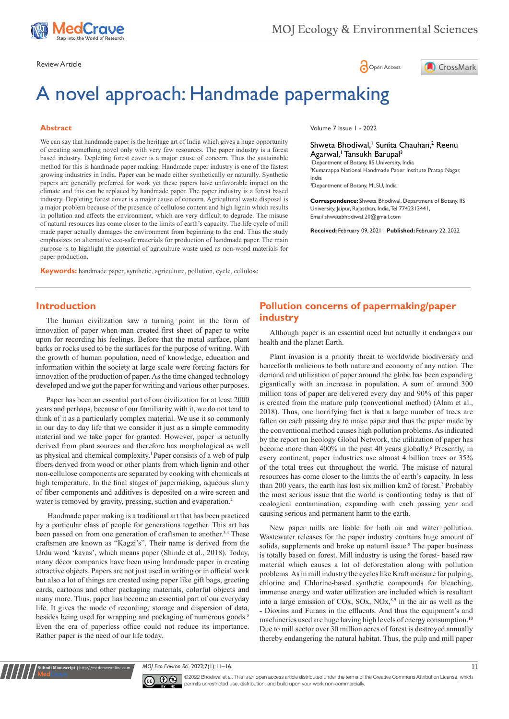

# Review Article **Contracts** Contracts and Contracts Contracts Contracts Contracts Contracts Contracts Contracts Contracts Contracts Contracts Contracts Contracts Contracts Contracts Contracts Contracts Contracts Contracts C



# A novel approach: Handmade papermaking

#### **Abstract**

We can say that handmade paper is the heritage art of India which gives a huge opportunity of creating something novel only with very few resources. The paper industry is a forest based industry. Depleting forest cover is a major cause of concern. Thus the sustainable method for this is handmade paper making. Handmade paper industry is one of the fastest growing industries in India. Paper can be made either synthetically or naturally. Synthetic papers are generally preferred for work yet these papers have unfavorable impact on the climate and this can be replaced by handmade paper. The paper industry is a forest based industry. Depleting forest cover is a major cause of concern. Agricultural waste disposal is a major problem because of the presence of cellulose content and high lignin which results in pollution and affects the environment, which are very difficult to degrade. The misuse of natural resources has come closer to the limits of earth's capacity. The life cycle of mill made paper actually damages the environment from beginning to the end. Thus the study emphasizes on alternative eco-safe materials for production of handmade paper. The main purpose is to highlight the potential of agriculture waste used as non-wood materials for paper production.

**Keywords:** handmade paper, synthetic, agriculture, pollution, cycle, cellulose

Volume 7 Issue 1 - 2022

#### Shweta Bhodiwal,<sup>1</sup> Sunita Chauhan,<sup>2</sup> Reenu Agarwal,<sup>1</sup> Tansukh Barupal<sup>3</sup>

1 Department of Botany, IIS University, India 2 Kumarappa National Handmade Paper Institute Pratap Nagar, India

3 Department of Botany, MLSU, India

**Correspondence:** Shweta Bhodiwal, Department of Botany, IIS University, Jaipur, Rajasthan, India, Tel 7742313441, Email shwetabhodiwal.20@gmail.com

**Received:** February 09, 2021 | **Published:** February 22, 2022

# **Introduction**

The human civilization saw a turning point in the form of innovation of paper when man created first sheet of paper to write upon for recording his feelings. Before that the metal surface, plant barks or rocks used to be the surfaces for the purpose of writing. With the growth of human population, need of knowledge, education and information within the society at large scale were forcing factors for innovation of the production of paper. As the time changed technology developed and we got the paper for writing and various other purposes.

Paper has been an essential part of our civilization for at least 2000 years and perhaps, because of our familiarity with it, we do not tend to think of it as a particularly complex material. We use it so commonly in our day to day life that we consider it just as a simple commodity material and we take paper for granted. However, paper is actually derived from plant sources and therefore has morphological as well as physical and chemical complexity.<sup>1</sup> Paper consists of a web of pulp fibers derived from wood or other plants from which lignin and other non-cellulose components are separated by cooking with chemicals at high temperature. In the final stages of papermaking, aqueous slurry of fiber components and additives is deposited on a wire screen and water is removed by gravity, pressing, suction and evaporation.<sup>2</sup>

 Handmade paper making is a traditional art that has been practiced by a particular class of people for generations together. This art has been passed on from one generation of craftsmen to another.<sup>3,4</sup> These craftsmen are known as "Kagzi's". Their name is derived from the Urdu word 'kavas', which means paper (Shinde et al., 2018). Today, many décor companies have been using handmade paper in creating attractive objects. Papers are not just used in writing or in official work but also a lot of things are created using paper like gift bags, greeting cards, cartoons and other packaging materials, colorful objects and many more. Thus, paper has become an essential part of our everyday life. It gives the mode of recording, storage and dispersion of data, besides being used for wrapping and packaging of numerous goods.<sup>5</sup> Even the era of paperless office could not reduce its importance. Rather paper is the need of our life today.

**Krit Manuscript** | http://medcraveonline.c

# **Pollution concerns of papermaking/paper industry**

Although paper is an essential need but actually it endangers our health and the planet Earth.

Plant invasion is a priority threat to worldwide biodiversity and henceforth malicious to both nature and economy of any nation. The demand and utilization of paper around the globe has been expanding gigantically with an increase in population. A sum of around 300 million tons of paper are delivered every day and 90% of this paper is created from the mature pulp (conventional method) (Alam et al., 2018). Thus, one horrifying fact is that a large number of trees are fallen on each passing day to make paper and thus the paper made by the conventional method causes high pollution problems. As indicated by the report on Ecology Global Network, the utilization of paper has become more than 400% in the past 40 years globally.<sup>6</sup> Presently, in every continent, paper industries use almost 4 billion trees or 35% of the total trees cut throughout the world. The misuse of natural resources has come closer to the limits the of earth's capacity. In less than 200 years, the earth has lost six million km2 of forest.7 Probably the most serious issue that the world is confronting today is that of ecological contamination, expanding with each passing year and causing serious and permanent harm to the earth.

New paper mills are liable for both air and water pollution. Wastewater releases for the paper industry contains huge amount of solids, supplements and broke up natural issue.<sup>8</sup> The paper business is totally based on forest. Mill industry is using the forest- based raw material which causes a lot of deforestation along with pollution problems. As in mill industry the cycles like Kraft measure for pulping, chlorine and Chlorine-based synthetic compounds for bleaching, immense energy and water utilization are included which is resultant into a large emission of COx, SOx, NOx, $8.9$  in the air as well as the - Dioxins and Furans in the effluents. And thus the equipment's and machineries used are huge having high levels of energy consumption.<sup>10</sup> Due to mill sector over 30 million acres of forest is destroyed annually thereby endangering the natural habitat. Thus, the pulp and mill paper

*MOJ Eco Environ Sci.* 2022;7(1):11–16. 11



©2022 Bhodiwal et al. This is an open access article distributed under the terms of the [Creative Commons Attribution License,](https://creativecommons.org/licenses/by-nc/4.0/) which permits unrestricted use, distribution, and build upon your work non-commercially.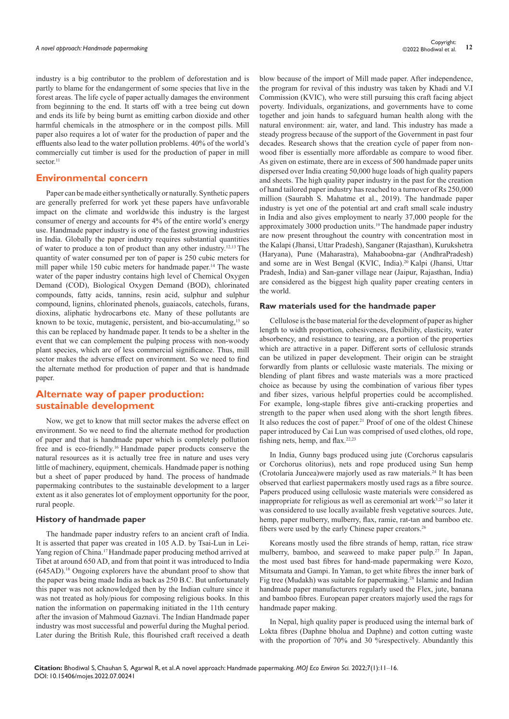industry is a big contributor to the problem of deforestation and is partly to blame for the endangerment of some species that live in the forest areas. The life cycle of paper actually damages the environment from beginning to the end. It starts off with a tree being cut down and ends its life by being burnt as emitting carbon dioxide and other harmful chemicals in the atmosphere or in the compost pills. Mill paper also requires a lot of water for the production of paper and the effluents also lead to the water pollution problems. 40% of the world's commercially cut timber is used for the production of paper in mill sector.<sup>11</sup>

### **Environmental concern**

Paper can be made either synthetically or naturally. Synthetic papers are generally preferred for work yet these papers have unfavorable impact on the climate and worldwide this industry is the largest consumer of energy and accounts for 4% of the entire world's energy use. Handmade paper industry is one of the fastest growing industries in India. Globally the paper industry requires substantial quantities of water to produce a ton of product than any other industry.12,13 The quantity of water consumed per ton of paper is 250 cubic meters for mill paper while 150 cubic meters for handmade paper.<sup>14</sup> The waste water of the paper industry contains high level of Chemical Oxygen Demand (COD), Biological Oxygen Demand (BOD), chlorinated compounds, fatty acids, tannins, resin acid, sulphur and sulphur compound, lignins, chlorinated phenols, guaiacols, catechols, furans, dioxins, aliphatic hydrocarbons etc. Many of these pollutants are known to be toxic, mutagenic, persistent, and bio-accumulating,<sup>15</sup> so this can be replaced by handmade paper. It tends to be a shelter in the event that we can complement the pulping process with non-woody plant species, which are of less commercial significance. Thus, mill sector makes the adverse effect on environment. So we need to find the alternate method for production of paper and that is handmade paper.

# **Alternate way of paper production: sustainable development**

Now, we get to know that mill sector makes the adverse effect on environment. So we need to find the alternate method for production of paper and that is handmade paper which is completely pollution free and is eco-friendly.16 Handmade paper products conserve the natural resources as it is actually tree free in nature and uses very little of machinery, equipment, chemicals. Handmade paper is nothing but a sheet of paper produced by hand. The process of handmade papermaking contributes to the sustainable development to a larger extent as it also generates lot of employment opportunity for the poor, rural people.

#### **History of handmade paper**

The handmade paper industry refers to an ancient craft of India. It is asserted that paper was created in 105 A.D. by Tsai-Lun in Lei-Yang region of China.<sup>17</sup> Handmade paper producing method arrived at Tibet at around 650 AD, and from that point it was introduced to India (645AD).18 Ongoing explorers have the abundant proof to show that the paper was being made India as back as 250 B.C. But unfortunately this paper was not acknowledged then by the Indian culture since it was not treated as holy/pious for composing religious books. In this nation the information on papermaking initiated in the 11th century after the invasion of Mahmoud Gaznavi. The Indian Handmade paper industry was most successful and powerful during the Mughal period. Later during the British Rule, this flourished craft received a death blow because of the import of Mill made paper. After independence, the program for revival of this industry was taken by Khadi and V.I Commission (KVIC), who were still pursuing this craft facing abject poverty. Individuals, organizations, and governments have to come together and join hands to safeguard human health along with the natural environment: air, water, and land. This industry has made a steady progress because of the support of the Government in past four decades. Research shows that the creation cycle of paper from nonwood fiber is essentially more affordable as compare to wood fiber. As given on estimate, there are in excess of 500 handmade paper units dispersed over India creating 50,000 huge loads of high quality papers and sheets. The high quality paper industry in the past for the creation of hand tailored paper industry has reached to a turnover of Rs 250,000 million (Saurabh S. Mahatme et al., 2019). The handmade paper industry is yet one of the potential art and craft small scale industry in India and also gives employment to nearly 37,000 people for the approximately 3000 production units.<sup>19</sup> The handmade paper industry are now present throughout the country with concentration most in the Kalapi (Jhansi, Uttar Pradesh), Sanganer (Rajasthan), Kurukshetra (Haryana), Pune (Maharastra), Mahaboobna-gar (AndhraPradesh) and some are in West Bengal (KVIC, India).20 Kalpi (Jhansi, Uttar Pradesh, India) and San-ganer village near (Jaipur, Rajasthan, India) are considered as the biggest high quality paper creating centers in the world.

#### **Raw materials used for the handmade paper**

Cellulose is the base material for the development of paper as higher length to width proportion, cohesiveness, flexibility, elasticity, water absorbency, and resistance to tearing, are a portion of the properties which are attractive in a paper. Different sorts of cellulosic strands can be utilized in paper development. Their origin can be straight forwardly from plants or cellulosic waste materials. The mixing or blending of plant fibres and waste materials was a more practiced choice as because by using the combination of various fiber types and fiber sizes, various helpful properties could be accomplished. For example, long-staple fibres give anti-cracking properties and strength to the paper when used along with the short length fibres. It also reduces the cost of paper.21 Proof of one of the oldest Chinese paper introduced by Cai Lun was comprised of used clothes, old rope, fishing nets, hemp, and flax.<sup>22,23</sup>

In India, Gunny bags produced using jute (Corchorus capsularis or Corchorus olitorius), nets and rope produced using Sun hemp (Crotolaria Juncea)were majorly used as raw materials.24 It has been observed that earliest papermakers mostly used rags as a fibre source. Papers produced using cellulosic waste materials were considered as inappropriate for religious as well as ceremonial art work<sup>3,25</sup> so later it was considered to use locally available fresh vegetative sources. Jute, hemp, paper mulberry, mulberry, flax, ramie, rat-tan and bamboo etc. fibers were used by the early Chinese paper creators.<sup>26</sup>

Koreans mostly used the fibre strands of hemp, rattan, rice straw mulberry, bamboo, and seaweed to make paper pulp.<sup>27</sup> In Japan, the most used bast fibres for hand-made papermaking were Kozo, Mitsumata and Gampi. In Yaman, to get white fibres the inner bark of Fig tree (Mudakh) was suitable for papermaking.<sup>28</sup> Islamic and Indian handmade paper manufacturers regularly used the Flex, jute, banana and bamboo fibres. European paper creators majorly used the rags for handmade paper making.

In Nepal, high quality paper is produced using the internal bark of Lokta fibres (Daphne bholua and Daphne) and cotton cutting waste with the proportion of 70% and 30 %respectively. Abundantly this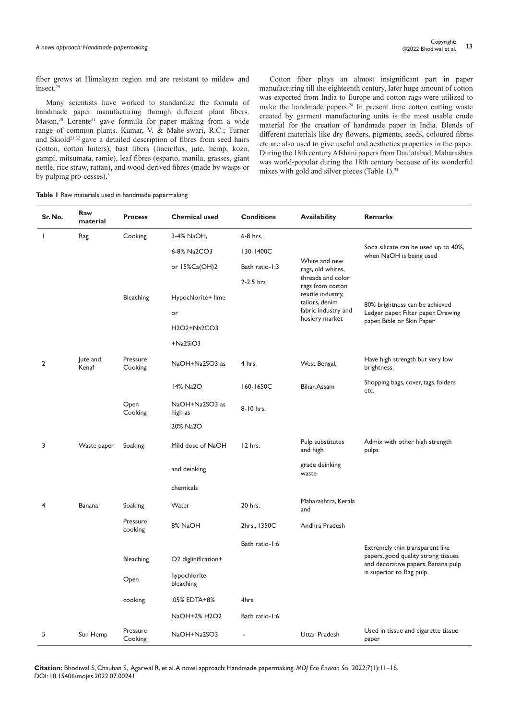fiber grows at Himalayan region and are resistant to mildew and insect.<sup>29</sup>

Many scientists have worked to standardize the formula of handmade paper manufacturing through different plant fibers. Mason,<sup>30</sup> Lorente<sup>31</sup> gave formula for paper making from a wide range of common plants. Kumar, V. & Mahe-swari, R.C.; Turner and Skiold<sup>23,32</sup> gave a detailed description of fibres from seed hairs (cotton, cotton linters), bast fibers (linen/flax, jute, hemp, kozo, gampi, mitsumata, ramie), leaf fibres (esparto, manila, grasses, giant nettle, rice straw, rattan), and wood-derived fibres (made by wasps or by pulping pro-cesses).<sup>3</sup>

Cotton fiber plays an almost insignificant part in paper manufacturing till the eighteenth century, later huge amount of cotton was exported from India to Europe and cotton rags were utilized to make the handmade papers.28 In present time cotton cutting waste created by garment manufacturing units is the most usable crude material for the creation of handmade paper in India. Blends of different materials like dry flowers, pigments, seeds, coloured fibres etc are also used to give useful and aesthetics properties in the paper. During the 18th century Afshani papers from Daulatabad, Maharashtra was world-popular during the 18th century because of its wonderful mixes with gold and silver pieces (Table 1).<sup>24</sup>

## **Table 1** Raw materials used in handmade papermaking

| Sr. No.                  | <b>Raw</b><br>material | <b>Process</b>      | <b>Chemical used</b>      | <b>Conditions</b> | Availability                          | <b>Remarks</b>                                                                                      |
|--------------------------|------------------------|---------------------|---------------------------|-------------------|---------------------------------------|-----------------------------------------------------------------------------------------------------|
| $\overline{\phantom{a}}$ | Rag                    | Cooking             | 3-4% NaOH,                | 6-8 hrs.          |                                       |                                                                                                     |
|                          |                        |                     | 6-8% Na2CO3               | 130-1400C         |                                       | Soda silicate can be used up to 40%,<br>when NaOH is being used                                     |
|                          |                        |                     | or $15\%$ Ca(OH)2         | Bath ratio-1:3    | White and new<br>rags, old whites,    |                                                                                                     |
|                          |                        |                     |                           | $2-2.5$ hrs       | threads and color<br>rags from cotton |                                                                                                     |
|                          |                        | <b>Bleaching</b>    | Hypochlorite+ lime        |                   | textile industry,<br>tailors, denim   | 80% brightness can be achieved<br>Ledger paper, Filter paper, Drawing<br>paper, Bible or Skin Paper |
|                          |                        |                     | or                        |                   | fabric industry and<br>hosiery market |                                                                                                     |
|                          |                        |                     | H2O2+Na2CO3               |                   |                                       |                                                                                                     |
|                          |                        |                     | $+Na2SiO3$                |                   |                                       |                                                                                                     |
| $\overline{2}$           | lute and<br>Kenaf      | Pressure<br>Cooking | NaOH+Na2SO3 as            | 4 hrs.            | West Bengal,                          | Have high strength but very low<br>brightness.                                                      |
|                          |                        |                     | 14% Na2O                  | 160-1650C         | Bihar, Assam                          | Shopping bags, cover, tags, folders<br>etc.                                                         |
|                          |                        | Open<br>Cooking     | NaOH+Na2SO3 as<br>high as | 8-10 hrs.         |                                       |                                                                                                     |
|                          |                        |                     | 20% Na2O                  |                   |                                       |                                                                                                     |
| 3                        | Waste paper            | Soaking             | Mild dose of NaOH         | 12 hrs.           | Pulp substitutes<br>and high          | Admix with other high strength<br>pulps                                                             |
|                          |                        |                     | and deinking              |                   | grade deinking<br>waste               |                                                                                                     |
|                          |                        |                     | chemicals                 |                   |                                       |                                                                                                     |
| 4                        | Banana                 | Soaking             | Water                     | 20 hrs.           | Maharashtra, Kerala<br>and            |                                                                                                     |
|                          |                        | Pressure<br>cooking | 8% NaOH                   | 2hrs., 1350C      | Andhra Pradesh                        |                                                                                                     |
|                          |                        |                     |                           | Bath ratio-1:6    |                                       | Extremely thin transparent like                                                                     |
|                          |                        | <b>Bleaching</b>    | O2 diglinification+       |                   |                                       | papers, good quality strong tissues<br>and decorative papers. Banana pulp                           |
|                          |                        | Open                | hypochlorite<br>bleaching |                   |                                       | is superior to Rag pulp                                                                             |
|                          |                        | cooking             | .05% EDTA+8%              | 4hrs.             |                                       |                                                                                                     |
|                          |                        |                     | NaOH+2% H2O2              | Bath ratio-1:6    |                                       |                                                                                                     |
| 5                        | Sun Hemp               | Pressure<br>Cooking | NaOH+Na2SO3               |                   | Uttar Pradesh                         | Used in tissue and cigarette tissue<br>paper                                                        |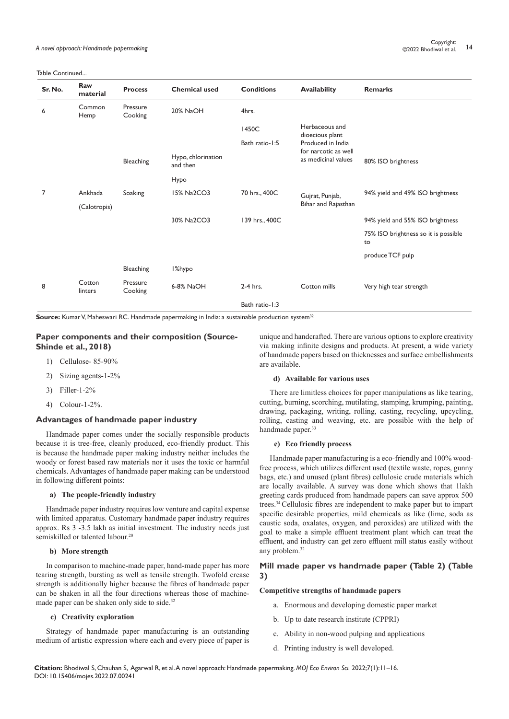| Sr. No. | Raw<br>material   | <b>Process</b>      | <b>Chemical used</b>           | <b>Conditions</b> | <b>Availability</b>                                              | <b>Remarks</b>                             |
|---------|-------------------|---------------------|--------------------------------|-------------------|------------------------------------------------------------------|--------------------------------------------|
| 6       | Common<br>Hemp    | Pressure<br>Cooking | 20% NaOH                       | 4hrs.             |                                                                  |                                            |
|         |                   |                     |                                | 1450C             | Herbaceous and<br>dioecious plant                                |                                            |
|         |                   |                     |                                | Bath ratio-1:5    | Produced in India<br>for narcotic as well<br>as medicinal values |                                            |
|         |                   | <b>Bleaching</b>    | Hypo, chlorination<br>and then |                   |                                                                  | 80% ISO brightness                         |
|         |                   |                     | Hypo                           |                   |                                                                  |                                            |
| 7       | Ankhada           | Soaking             | 15% Na2CO3                     | 70 hrs., 400C     | Gujrat, Punjab,                                                  | 94% yield and 49% ISO brightness           |
|         | (Calotropis)      |                     |                                |                   | Bihar and Rajasthan                                              |                                            |
|         |                   |                     | 30% Na2CO3                     | 139 hrs., 400C    |                                                                  | 94% yield and 55% ISO brightness           |
|         |                   |                     |                                |                   |                                                                  | 75% ISO brightness so it is possible<br>to |
|         |                   |                     |                                |                   |                                                                  | produce TCF pulp                           |
|         |                   | <b>Bleaching</b>    | I%hypo                         |                   |                                                                  |                                            |
| 8       | Cotton<br>linters | Pressure<br>Cooking | 6-8% NaOH                      | 2-4 hrs.          | Cotton mills                                                     | Very high tear strength                    |
|         |                   |                     |                                | Bath ratio-1:3    |                                                                  |                                            |

**Source:** Kumar V, Maheswari RC. Handmade papermaking in India: a sustainable production system<sup>32</sup>

# **Paper components and their composition (Source-Shinde et al., 2018)**

- 1) Cellulose- 85-90%
- 2) Sizing agents-1-2%
- 3) Filler-1-2%
- 4) Colour-1-2%.

#### **Advantages of handmade paper industry**

Handmade paper comes under the socially responsible products because it is tree-free, cleanly produced, eco-friendly product. This is because the handmade paper making industry neither includes the woody or forest based raw materials nor it uses the toxic or harmful chemicals. Advantages of handmade paper making can be understood in following different points:

#### **a) The people-friendly industry**

Handmade paper industry requires low venture and capital expense with limited apparatus. Customary handmade paper industry requires approx. Rs 3 -3.5 lakh as initial investment. The industry needs just semiskilled or talented labour.<sup>20</sup>

#### **b) More strength**

In comparison to machine-made paper, hand-made paper has more tearing strength, bursting as well as tensile strength. Twofold crease strength is additionally higher because the fibres of handmade paper can be shaken in all the four directions whereas those of machinemade paper can be shaken only side to side.<sup>32</sup>

#### **c) Creativity exploration**

Strategy of handmade paper manufacturing is an outstanding medium of artistic expression where each and every piece of paper is unique and handcrafted. There are various options to explore creativity via making infinite designs and products. At present, a wide variety of handmade papers based on thicknesses and surface embellishments are available.

#### **d) Available for various uses**

There are limitless choices for paper manipulations as like tearing, cutting, burning, scorching, mutilating, stamping, krumping, painting, drawing, packaging, writing, rolling, casting, recycling, upcycling, rolling, casting and weaving, etc. are possible with the help of handmade paper.<sup>33</sup>

#### **e) Eco friendly process**

Handmade paper manufacturing is a eco-friendly and 100% woodfree process, which utilizes different used (textile waste, ropes, gunny bags, etc.) and unused (plant fibres) cellulosic crude materials which are locally available. A survey was done which shows that 1lakh greeting cards produced from handmade papers can save approx 500 trees.34 Cellulosic fibres are independent to make paper but to impart specific desirable properties, mild chemicals as like (lime, soda as caustic soda, oxalates, oxygen, and peroxides) are utilized with the goal to make a simple effluent treatment plant which can treat the effluent, and industry can get zero effluent mill status easily without any problem.32

# **Mill made paper vs handmade paper (Table 2) (Table 3)**

#### **Competitive strengths of handmade papers**

- a. Enormous and developing domestic paper market
- b. Up to date research institute (CPPRI)
- c. Ability in non-wood pulping and applications
- d. Printing industry is well developed.

**Citation:** Bhodiwal S, Chauhan S, Agarwal R, et al. A novel approach: Handmade papermaking. *MOJ Eco Environ Sci.* 2022;7(1):11‒16. DOI: [10.15406/mojes.2022.07.00241](https://doi.org/10.15406/mojes.2022.07.00241)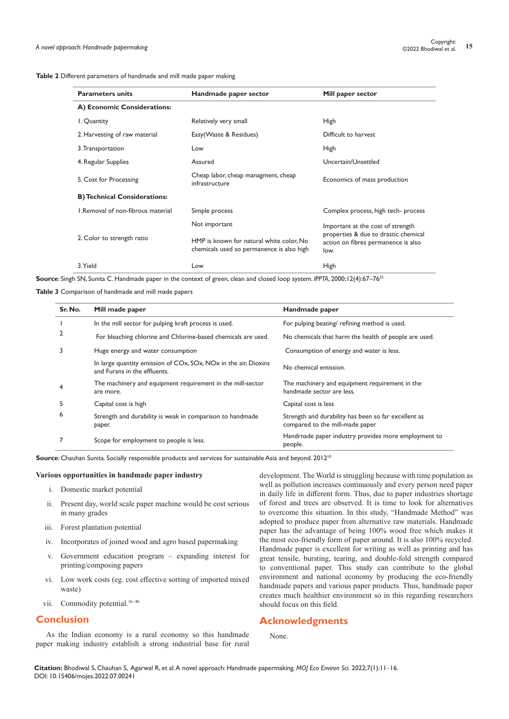| Table 2 Different parameters of handmade and mill made paper making |  |  |
|---------------------------------------------------------------------|--|--|
|---------------------------------------------------------------------|--|--|

| <b>Parameters units</b>             | Handmade paper sector                                                                 | Mill paper sector                                                                                                        |  |
|-------------------------------------|---------------------------------------------------------------------------------------|--------------------------------------------------------------------------------------------------------------------------|--|
| A) Economic Considerations:         |                                                                                       |                                                                                                                          |  |
| I. Quantity                         | Relatively very small                                                                 | <b>High</b>                                                                                                              |  |
| 2. Harvesting of raw material       | Easy(Waste & Residues)                                                                | Difficult to harvest                                                                                                     |  |
| 3. Transportation                   | Low                                                                                   | <b>High</b>                                                                                                              |  |
| 4. Regular Supplies                 | Assured                                                                               | Uncertain/Unsettled                                                                                                      |  |
| 5. Cost for Processing              | Cheap labor, cheap managment, cheap<br>infrastructure                                 | Economics of mass production                                                                                             |  |
| <b>B) Technical Considerations:</b> |                                                                                       |                                                                                                                          |  |
| L.Removal of non-fibrous material   | Simple process                                                                        | Complex process, high tech-process                                                                                       |  |
|                                     | Not important                                                                         | Important at the cost of strength<br>properties & due to drastic chemical<br>action on fibres permanence is also<br>low. |  |
| 2. Color to strength ratio          | HMP is known for natural white color, No<br>chemicals used so permanence is also high |                                                                                                                          |  |
| 3. Yield                            | Low                                                                                   | <b>High</b>                                                                                                              |  |

**Source**: Singh SN, Sunita C. Handmade paper in the context of green, clean and closed loop system. *IPPTA*, 2000;12(4):67–7635

**Table 3** Comparison of handmade and mill made papers

| Sr. No. | Mill made paper                                                                                 | Handmade paper                                                                          |
|---------|-------------------------------------------------------------------------------------------------|-----------------------------------------------------------------------------------------|
|         | In the mill sector for pulping kraft process is used.                                           | For pulping beating/refining method is used.                                            |
| 2       | For bleaching chlorine and Chlorine-based chemicals are used.                                   | No chemicals that harm the health of people are used.                                   |
| 3       | Huge energy and water consumption                                                               | Consumption of energy and water is less.                                                |
|         | In large quantity emission of COx, SOx, NOx in the air, Dioxins<br>and Furans in the effluents. | No chemical emission.                                                                   |
| 4       | The machinery and equipment requirement in the mill-sector<br>are more.                         | The machinery and equipment requirement in the<br>handmade sector are less.             |
|         | Capital cost is high                                                                            | Capital cost is less                                                                    |
| 6       | Strength and durability is weak in comparison to handmade<br>paper.                             | Strength and durability has been so far excellent as<br>compared to the mill-made paper |
|         | Scope for employment to people is less.                                                         | Handrnade paper industry provides more employment to<br>people.                         |

**Source**: Chauhan Sunita. Socially responsible products and services for sustainable Asia and beyond. 2012<sup>10</sup>

#### **Various opportunities in handmade paper industry**

- i. Domestic market potential
- ii. Present day, world scale paper machine would be cost serious in many grades
- iii. Forest plantation potential
- iv. Incorporates of joined wood and agro based papermaking
- v. Government education program expanding interest for printing/composing papers
- vi. Low work costs (eg. cost effective sorting of imported mixed waste)
- vii. Commodity potential.36–40

## **Conclusion**

As the Indian economy is a rural economy so this handmade paper making industry establish a strong industrial base for rural

development. The World is struggling because with time population as well as pollution increases continuously and every person need paper in daily life in different form. Thus, due to paper industries shortage of forest and trees are observed. It is time to look for alternatives to overcome this situation. In this study, "Handmade Method" was adopted to produce paper from alternative raw materials. Handmade paper has the advantage of being 100% wood free which makes it the most eco-friendly form of paper around. It is also 100% recycled. Handmade paper is excellent for writing as well as printing and has great tensile, bursting, tearing, and double-fold strength compared to conventional paper. This study can contribute to the global environment and national economy by producing the eco-friendly handmade papers and various paper products. Thus, handmade paper creates much healthier environment so in this regarding researchers should focus on this field.

# **Acknowledgments**

None.

**Citation:** Bhodiwal S, Chauhan S, Agarwal R, et al. A novel approach: Handmade papermaking. *MOJ Eco Environ Sci.* 2022;7(1):11‒16. DOI: [10.15406/mojes.2022.07.00241](https://doi.org/10.15406/mojes.2022.07.00241)